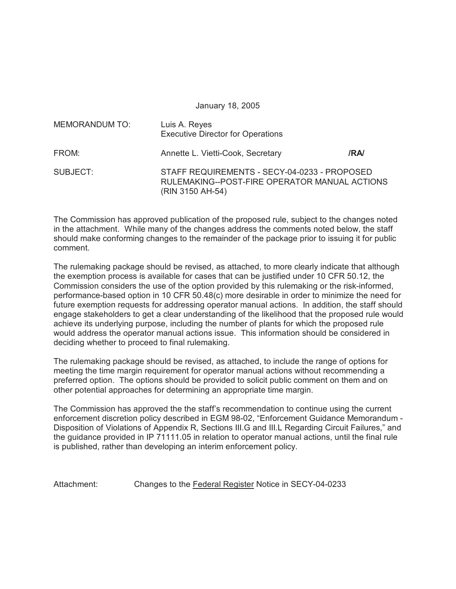January 18, 2005

| <b>MEMORANDUM TO:</b> | Luis A. Reyes<br><b>Executive Director for Operations</b>                                                         |     |
|-----------------------|-------------------------------------------------------------------------------------------------------------------|-----|
| FROM:                 | Annette L. Vietti-Cook, Secretary                                                                                 | /RA |
| SUBJECT:              | STAFF REQUIREMENTS - SECY-04-0233 - PROPOSED<br>RULEMAKING--POST-FIRE OPERATOR MANUAL ACTIONS<br>(RIN 3150 AH-54) |     |

The Commission has approved publication of the proposed rule, subject to the changes noted in the attachment. While many of the changes address the comments noted below, the staff should make conforming changes to the remainder of the package prior to issuing it for public comment.

The rulemaking package should be revised, as attached, to more clearly indicate that although the exemption process is available for cases that can be justified under 10 CFR 50.12, the Commission considers the use of the option provided by this rulemaking or the risk-informed, performance-based option in 10 CFR 50.48(c) more desirable in order to minimize the need for future exemption requests for addressing operator manual actions. In addition, the staff should engage stakeholders to get a clear understanding of the likelihood that the proposed rule would achieve its underlying purpose, including the number of plants for which the proposed rule would address the operator manual actions issue. This information should be considered in deciding whether to proceed to final rulemaking.

The rulemaking package should be revised, as attached, to include the range of options for meeting the time margin requirement for operator manual actions without recommending a preferred option. The options should be provided to solicit public comment on them and on other potential approaches for determining an appropriate time margin.

The Commission has approved the the staff's recommendation to continue using the current enforcement discretion policy described in EGM 98-02, "Enforcement Guidance Memorandum - Disposition of Violations of Appendix R, Sections III.G and III.L Regarding Circuit Failures," and the guidance provided in IP 71111.05 in relation to operator manual actions, until the final rule is published, rather than developing an interim enforcement policy.

Attachment: Changes to the Federal Register Notice in SECY-04-0233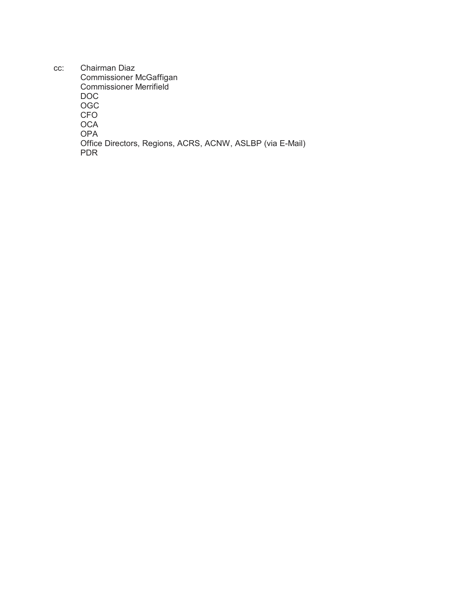cc: Chairman Diaz Commissioner McGaffigan Commissioner Merrifield DOC OGC CFO **OCA** OPA Office Directors, Regions, ACRS, ACNW, ASLBP (via E-Mail) PDR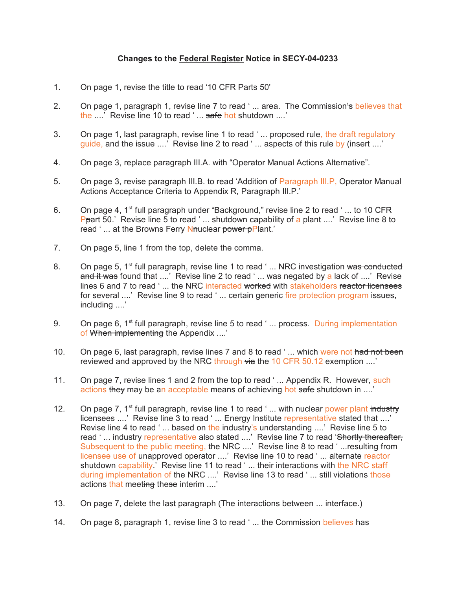## **Changes to the Federal Register Notice in SECY-04-0233**

- 1. On page 1, revise the title to read '10 CFR Parts 50'
- 2. On page 1, paragraph 1, revise line 7 to read '... area. The Commission's believes that the ....<sup>7</sup> Revise line 10 to read ' ... safe hot shutdown ....'
- 3. On page 1, last paragraph, revise line 1 to read ' ... proposed rule, the draft regulatory guide, and the issue ....' Revise line 2 to read '... aspects of this rule by (insert ....'
- 4. On page 3, replace paragraph III.A. with "Operator Manual Actions Alternative".
- 5. On page 3, revise paragraph III.B. to read 'Addition of Paragraph III.P, Operator Manual Actions Acceptance Criteria to Appendix R, Paragraph III.P.'
- 6. On page 4, 1<sup>st</sup> full paragraph under "Background," revise line 2 to read '... to 10 CFR **Ppart 50.'** Revise line 5 to read '... shutdown capability of a plant ....' Revise line 8 to read '... at the Browns Ferry Nauclear power pPlant.'
- 7. On page 5, line 1 from the top, delete the comma.
- 8. On page 5, 1<sup>st</sup> full paragraph, revise line 1 to read ' ... NRC investigation was conducted and it was found that ....' Revise line 2 to read '... was negated by a lack of ....' Revise lines 6 and 7 to read '... the NRC interacted worked with stakeholders reactor licensees for several ....' Revise line 9 to read '... certain generic fire protection program issues, including ....'
- 9. On page 6, 1<sup>st</sup> full paragraph, revise line 5 to read '... process. During implementation of When implementing the Appendix ....'
- 10. On page 6, last paragraph, revise lines 7 and 8 to read '... which were not had not been reviewed and approved by the NRC through  $\forall$  the 10 CFR 50.12 exemption ....'
- 11. On page 7, revise lines 1 and 2 from the top to read '... Appendix R. However, such actions they may be an acceptable means of achieving hot safe shutdown in ....'
- 12. On page 7,  $1^{st}$  full paragraph, revise line 1 to read '... with nuclear power plant industry licensees ....' Revise line 3 to read '... Energy Institute representative stated that ....' Revise line 4 to read '... based on the industry's understanding ....' Revise line 5 to read '... industry representative also stated ....' Revise line 7 to read 'Shortly thereafter, Subsequent to the public meeting, the NRC ....' Revise line 8 to read ' ...resulting from licensee use of unapproved operator ....' Revise line 10 to read ' ... alternate reactor shutdown capability.' Revise line 11 to read '... their interactions with the NRC staff during implementation of the NRC ....' Revise line 13 to read ' ... still violations those actions that meeting these interim ....'
- 13. On page 7, delete the last paragraph (The interactions between ... interface.)
- 14. On page 8, paragraph 1, revise line 3 to read '... the Commission believes has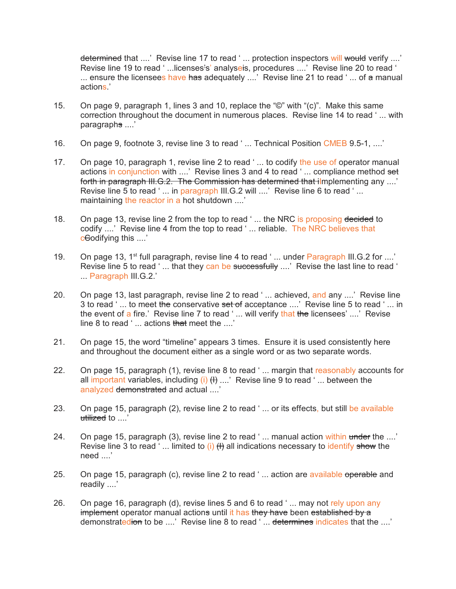determined that ....' Revise line 17 to read '... protection inspectors will would verify ....' Revise line 19 to read '...licenses's' analyseis, procedures ....' Revise line 20 to read ' ... ensure the licensees have has adequately  $\ldots$ . Revise line 21 to read ' $\ldots$  of a manual actions.'

- 15. On page 9, paragraph 1, lines 3 and 10, replace the "©" with "(c)". Make this same correction throughout the document in numerous places. Revise line 14 to read ' ... with paragraphs ....'
- 16. On page 9, footnote 3, revise line 3 to read '... Technical Position CMEB 9.5-1. ....'
- 17. On page 10, paragraph 1, revise line 2 to read ' ... to codify the use of operator manual actions in conjunction with ....' Revise lines 3 and 4 to read '... compliance method set forth in paragraph III.G.2. The Commission has determined that ilmplementing any ....' Revise line 5 to read ' ... in paragraph III.G.2 will ....' Revise line 6 to read ' ... maintaining the reactor in a hot shutdown ....'
- 18. On page 13, revise line 2 from the top to read '... the NRC is proposing decided to codify ....' Revise line 4 from the top to read ' ... reliable. The NRC believes that cCodifying this ....'
- 19. On page 13, 1<sup>st</sup> full paragraph, revise line 4 to read '... under Paragraph III.G.2 for ....' Revise line 5 to read ' ... that they can be successfully ....' Revise the last line to read ' ... Paragraph III.G.2.'
- 20. On page 13, last paragraph, revise line 2 to read '... achieved, and any ....' Revise line 3 to read '... to meet the conservative set of acceptance ....' Revise line 5 to read '... in the event of a fire.' Revise line 7 to read ' ... will verify that the licensees' ....' Revise line 8 to read '... actions that meet the ....'
- 21. On page 15, the word "timeline" appears 3 times. Ensure it is used consistently here and throughout the document either as a single word or as two separate words.
- 22. On page 15, paragraph (1), revise line 8 to read '... margin that reasonably accounts for all important variables, including  $(i)$   $(H)$  ....' Revise line 9 to read '... between the analyzed demonstrated and actual ....'
- 23. On page 15, paragraph (2), revise line 2 to read '... or its effects, but still be available utilized to ....'
- 24. On page 15, paragraph (3), revise line 2 to read '... manual action within under the ....' Revise line 3 to read '... limited to (i)  $(H)$  all indications necessary to identify show the need ....'
- 25. On page 15, paragraph (c), revise line 2 to read '... action are available operable and readily ....'
- 26. On page 16, paragraph (d), revise lines 5 and 6 to read ' ... may not rely upon any implement operator manual actions until it has they have been established by a demonstratedion to be ....' Revise line 8 to read '... determines indicates that the ....'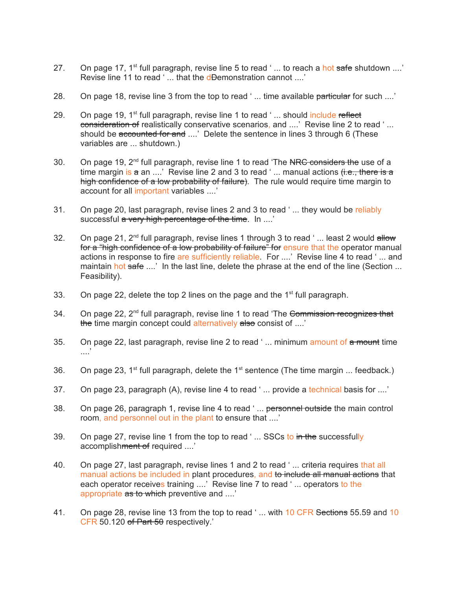- 27. On page 17, 1<sup>st</sup> full paragraph, revise line 5 to read '... to reach a hot safe shutdown ....' Revise line 11 to read '... that the d<del>D</del>emonstration cannot ....'
- 28. On page 18, revise line 3 from the top to read '... time available particular for such ....'
- 29. On page 19,  $1<sup>st</sup>$  full paragraph, revise line 1 to read '... should include reflect consideration of realistically conservative scenarios, and ....' Revise line 2 to read '... should be accounted for and ....' Delete the sentence in lines 3 through 6 (These variables are ... shutdown.)
- 30. On page 19,  $2^{nd}$  full paragraph, revise line 1 to read 'The NRC considers the use of a time margin is  $a$  an ....' Revise line 2 and 3 to read '... manual actions  $f_1, f_2, f_3$  there is  $a$ high confidence of a low probability of failure). The rule would require time margin to account for all important variables ....'
- 31. On page 20, last paragraph, revise lines 2 and 3 to read ' ... they would be reliably successful a very high percentage of the time. In ...'
- 32. On page 21,  $2^{nd}$  full paragraph, revise lines 1 through 3 to read '... least 2 would allow for a "high confidence of a low probability of failure" for ensure that the operator manual actions in response to fire are sufficiently reliable. For ....' Revise line 4 to read ' ... and maintain hot safe ....' In the last line, delete the phrase at the end of the line (Section ... Feasibility).
- 33. On page 22, delete the top 2 lines on the page and the  $1<sup>st</sup>$  full paragraph.
- 34. On page 22, 2<sup>nd</sup> full paragraph, revise line 1 to read 'The Commission recognizes that the time margin concept could alternatively also consist of ....'
- 35. On page 22, last paragraph, revise line 2 to read '... minimum amount of a mount time ....'
- 36. On page 23, 1<sup>st</sup> full paragraph, delete the 1<sup>st</sup> sentence (The time margin ... feedback.)
- 37. On page 23, paragraph (A), revise line 4 to read '... provide a technical basis for ....'
- 38. On page 26, paragraph 1, revise line 4 to read '... personnel outside the main control room, and personnel out in the plant to ensure that ....'
- 39. On page 27, revise line 1 from the top to read '... SSCs to in the successfully accomplishment of required ....'
- 40. On page 27, last paragraph, revise lines 1 and 2 to read ' ... criteria requires that all manual actions be included in plant procedures, and to include all manual actions that each operator receives training ....' Revise line 7 to read '... operators to the appropriate as to which preventive and ....'
- 41. On page 28, revise line 13 from the top to read '... with 10 CFR Sections 55.59 and 10 CFR 50.120 of Part 50 respectively.'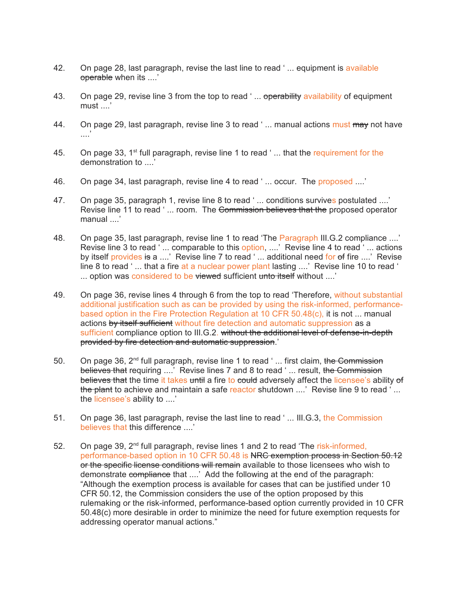- 42. On page 28, last paragraph, revise the last line to read ' ... equipment is available operable when its ....'
- 43. On page 29, revise line 3 from the top to read '... operability availability of equipment must ....'
- 44. On page 29, last paragraph, revise line 3 to read '... manual actions must may not have  $\cdot$
- 45. On page 33, 1<sup>st</sup> full paragraph, revise line 1 to read '... that the requirement for the demonstration to ....'
- 46. On page 34, last paragraph, revise line 4 to read ' ... occur. The proposed ....'
- 47. On page 35, paragraph 1, revise line 8 to read '... conditions survives postulated ....' Revise line 11 to read '... room. The Commission believes that the proposed operator manual ....'
- 48. On page 35, last paragraph, revise line 1 to read 'The Paragraph III.G.2 compliance ....' Revise line 3 to read '... comparable to this option, ....' Revise line 4 to read '... actions by itself provides is a ....' Revise line 7 to read '... additional need for of fire ....' Revise line 8 to read '... that a fire at a nuclear power plant lasting ....' Revise line 10 to read ' ... option was considered to be viewed sufficient unto itself without ....'
- 49. On page 36, revise lines 4 through 6 from the top to read 'Therefore, without substantial additional justification such as can be provided by using the risk-informed, performancebased option in the Fire Protection Regulation at 10 CFR 50.48(c), it is not ... manual actions by itself sufficient without fire detection and automatic suppression as a sufficient compliance option to III.G.2. without the additional level of defense-in-depth provided by fire detection and automatic suppression.'
- 50. On page 36, 2<sup>nd</sup> full paragraph, revise line 1 to read '... first claim, the Commission believes that requiring ....' Revise lines 7 and 8 to read ' ... result, the Commission believes that the time it takes until a fire to could adversely affect the licensee's ability of the plant to achieve and maintain a safe reactor shutdown  $\ldots$  Revise line 9 to read  $\ldots$ the licensee's ability to ....'
- 51. On page 36, last paragraph, revise the last line to read '... III.G.3, the Commission believes that this difference ....'
- 52. On page 39, 2<sup>nd</sup> full paragraph, revise lines 1 and 2 to read 'The risk-informed, performance-based option in 10 CFR 50.48 is NRC exemption process in Section 50.12 or the specific license conditions will remain available to those licensees who wish to demonstrate compliance that ....' Add the following at the end of the paragraph: "Although the exemption process is available for cases that can be justified under 10 CFR 50.12, the Commission considers the use of the option proposed by this rulemaking or the risk-informed, performance-based option currently provided in 10 CFR 50.48(c) more desirable in order to minimize the need for future exemption requests for addressing operator manual actions."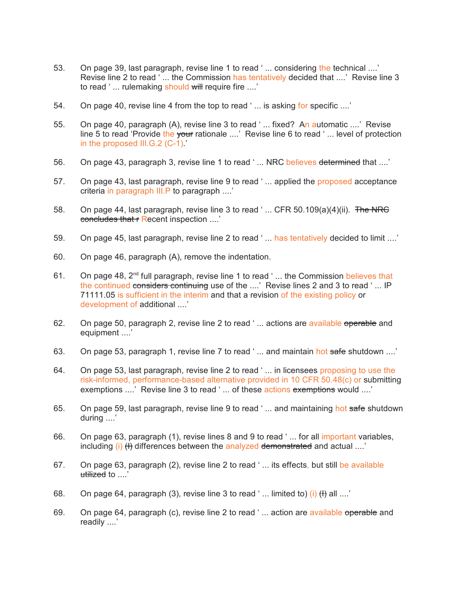- 53. On page 39, last paragraph, revise line 1 to read '... considering the technical ....' Revise line 2 to read ' ... the Commission has tentatively decided that ....' Revise line 3 to read '... rulemaking should will require fire ....'
- 54. On page 40, revise line 4 from the top to read '... is asking for specific ....'
- 55. On page 40, paragraph (A), revise line 3 to read ' ... fixed? An automatic ....' Revise line 5 to read 'Provide the your rationale ....' Revise line 6 to read ' ... level of protection in the proposed III.G.2 (C-1).'
- 56. On page 43, paragraph 3, revise line 1 to read '... NRC believes determined that ....'
- 57. On page 43, last paragraph, revise line 9 to read ' ... applied the proposed acceptance criteria in paragraph III.P to paragraph ....'
- 58. On page 44, last paragraph, revise line 3 to read '... CFR 50.109(a)(4)(ii). The NRC concludes that r Recent inspection ....'
- 59. On page 45, last paragraph, revise line 2 to read ' ... has tentatively decided to limit ....'
- 60. On page 46, paragraph (A), remove the indentation.
- 61. On page 48,  $2^{nd}$  full paragraph, revise line 1 to read '... the Commission believes that the continued considers continuing use of the ....' Revise lines 2 and 3 to read '... IP 71111.05 is sufficient in the interim and that a revision of the existing policy or development of additional ....'
- 62. On page 50, paragraph 2, revise line 2 to read '... actions are available operable and equipment ....'
- 63. On page 53, paragraph 1, revise line 7 to read '... and maintain hot safe shutdown ....'
- 64. On page 53, last paragraph, revise line 2 to read ' ... in licensees proposing to use the risk-informed, performance-based alternative provided in 10 CFR 50.48(c) or submitting exemptions ....' Revise line 3 to read '... of these actions exemptions would ....'
- 65. On page 59, last paragraph, revise line 9 to read '... and maintaining hot safe shutdown during ....'
- 66. On page 63, paragraph (1), revise lines 8 and 9 to read '... for all important variables, including  $(i)$  (H) differences between the analyzed demonstrated and actual ....'
- 67. On page 63, paragraph (2), revise line 2 to read '... its effects, but still be available utilized to ....'
- 68. On page 64, paragraph (3), revise line 3 to read '... limited to) (i)  $(H)$  all ....'
- 69. On page 64, paragraph (c), revise line 2 to read '... action are available operable and readily ....'